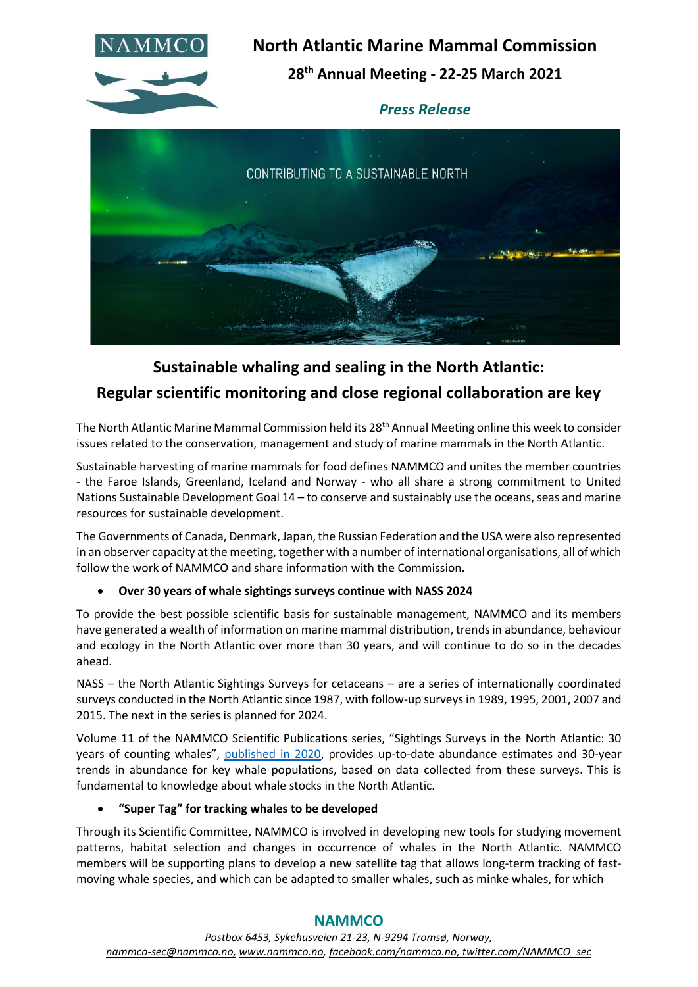

**North Atlantic Marine Mammal Commission 28th Annual Meeting - 22-25 March 2021**

*Press Release*



# **Sustainable whaling and sealing in the North Atlantic:**

## **Regular scientific monitoring and close regional collaboration are key**

The North Atlantic Marine Mammal Commission held its 28<sup>th</sup> Annual Meeting online this week to consider issues related to the conservation, management and study of marine mammals in the North Atlantic.

Sustainable harvesting of marine mammals for food defines NAMMCO and unites the member countries - the Faroe Islands, Greenland, Iceland and Norway - who all share a strong commitment to United Nations Sustainable Development Goal 14 – to conserve and sustainably use the oceans, seas and marine resources for sustainable development.

The Governments of Canada, Denmark, Japan, the Russian Federation and the USA were also represented in an observer capacity at the meeting, together with a number of international organisations, all of which follow the work of NAMMCO and share information with the Commission.

#### • **Over 30 years of whale sightings surveys continue with NASS 2024**

To provide the best possible scientific basis for sustainable management, NAMMCO and its members have generated a wealth of information on marine mammal distribution, trends in abundance, behaviour and ecology in the North Atlantic over more than 30 years, and will continue to do so in the decades ahead.

NASS – the North Atlantic Sightings Surveys for cetaceans – are a series of internationally coordinated surveys conducted in the North Atlantic since 1987, with follow-up surveys in 1989, 1995, 2001, 2007 and 2015. The next in the series is planned for 2024.

Volume 11 of the NAMMCO Scientific Publications series, "Sightings Surveys in the North Atlantic: 30 years of counting whales", [published in 2020,](https://nammco.no/topics/vol-11/) provides up-to-date abundance estimates and 30-year trends in abundance for key whale populations, based on data collected from these surveys. This is fundamental to knowledge about whale stocks in the North Atlantic.

#### • **"Super Tag" for tracking whales to be developed**

Through its Scientific Committee, NAMMCO is involved in developing new tools for studying movement patterns, habitat selection and changes in occurrence of whales in the North Atlantic. NAMMCO members will be supporting plans to develop a new satellite tag that allows long-term tracking of fastmoving whale species, and which can be adapted to smaller whales, such as minke whales, for which

### **NAMMCO**